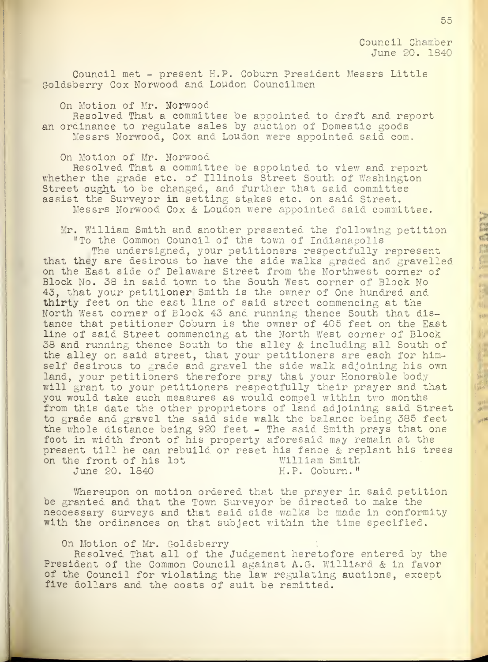Council Chamber June 20. 1340

Council met - present H.P. Coburn President Messrs Little Goldsberry Cox Norwood and Loudon Councilmen

On Motion of Mr. Norwood

Resolved That a committee be appointed to draft and report an ordinance to regulate sales by auction of Domestic goods Messrs Norwood, Cox and Loudon were appointed said com.

On Motion of Mr. Norwood

Resolved That a committee be appointed to view and report whether the grade etc. of Illinois Street South of Washington Street ought to be changed, and further that said committee assist the Surveyor in setting stakes etc. on said Street. Messrs Norwood Cox & Loudon were appointed said committee.

Mr. William Smith and another presented the following petition "To the Common Council of the town of Indianapolis

The undersigned, your petitioners respectfully represent that they are desirous to have the side walks graded and gravelled on the East side of Delaware Street from the Northwest corner of Block No. 38 in said town to the South West corner of Block No 43, that your petitioner Smith is the owner of One hundred and thirty feet on the east line of said street commencing at the North West corner of Block 43 and running thence South that distance that petitioner Coburn is the owner of 405 feet on the East line of said Street commencing at the North West corner of Block 38 and running thence South to the alley & including all South of the alley on said street, that your petitioners are each for himself desirous to grade and gravel the side walk adjoining his own land, your petitioners therefore pray that your Honorable body will erant to your petitioners respectfully their prayer and that you would take such measures as would compel within two months from this date the other proprietors of land adjoining said Street to grade and gravel the said side walk the balance being 385 feet the whole distance being 920 feet - The said Smith prays that one foot in width front of his property aforesaid may remain at the present till he can rebuild or reset his fence & replant his trees<br>on the front of his lot William Smith on the front of his lot William Smith<br>June 20. 1840 H.P. Coburn." June 20. 1840

Whereupon on motion ordered that the prayer in said petition be granted and that the Town Surveyor be directed to make the neccessary surveys and that said side walks be made in conformity with the ordinances on that subject within the time specified.

On Motion of Mr. Goldsberry

Resolved That all of the Judgement heretofore entered by the President of the Common Council against A.G. Williard & in favor of the Council for violating the law regulating auctions, except five dollars and the costs of suit be remitted.

書 E. 費 農地 机。

 $481$ 相称

出

温

山松縣